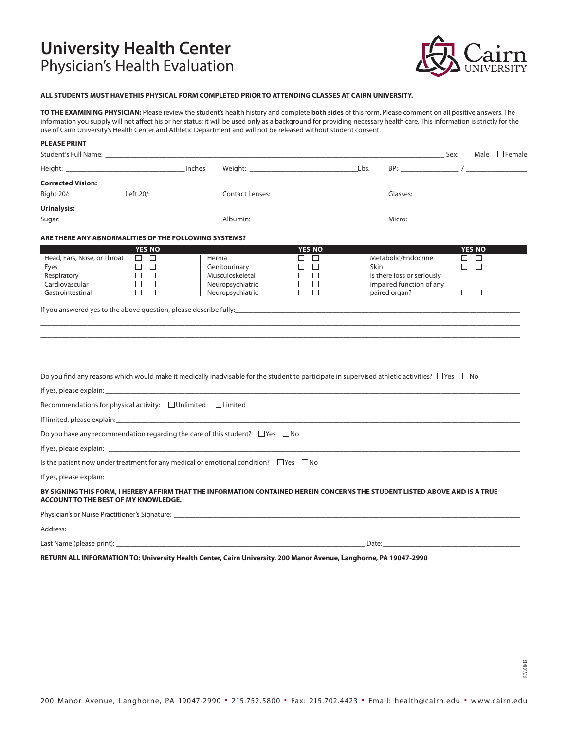## **University Health Center** Physician's Health Evaluation



## **ALL STUDENTS MUST HAVE THIS PHYSICAL FORM COMPLETED PRIOR TO ATTENDING CLASSES AT CAIRN UNIVERSITY.**

**TO THE EXAMINING PHYSICIAN:** Please review the student's health history and complete **both sides** of this form. Please comment on all positive answers. The information you supply will not affect his or her status; it will be used only as a background for providing necessary health care. This information is strictly for the use of Cairn University's Health Center and Athletic Department and will not be released without student consent.

| <b>PLEASE PRINT</b>                                                                                                                                                                                                                                                                                                                                                                                                                                                  |                         |                                     |                                      |             |                                                                                                                                                                                                                                |                                |  |
|----------------------------------------------------------------------------------------------------------------------------------------------------------------------------------------------------------------------------------------------------------------------------------------------------------------------------------------------------------------------------------------------------------------------------------------------------------------------|-------------------------|-------------------------------------|--------------------------------------|-------------|--------------------------------------------------------------------------------------------------------------------------------------------------------------------------------------------------------------------------------|--------------------------------|--|
|                                                                                                                                                                                                                                                                                                                                                                                                                                                                      |                         | Weight: Lbs.                        |                                      |             |                                                                                                                                                                                                                                | Sex: $\Box$ Male $\Box$ Female |  |
| <b>Corrected Vision:</b>                                                                                                                                                                                                                                                                                                                                                                                                                                             |                         |                                     |                                      |             |                                                                                                                                                                                                                                |                                |  |
| Right 20/: _______________________ Left 20/: ___________________________________                                                                                                                                                                                                                                                                                                                                                                                     |                         |                                     |                                      |             | Glasses: Contract Contract Contract Contract Contract Contract Contract Contract Contract Contract Contract Contract Contract Contract Contract Contract Contract Contract Contract Contract Contract Contract Contract Contra |                                |  |
| <b>Urinalysis:</b>                                                                                                                                                                                                                                                                                                                                                                                                                                                   |                         |                                     |                                      |             |                                                                                                                                                                                                                                |                                |  |
|                                                                                                                                                                                                                                                                                                                                                                                                                                                                      |                         |                                     |                                      |             |                                                                                                                                                                                                                                |                                |  |
| ARE THERE ANY ABNORMALITIES OF THE FOLLOWING SYSTEMS?                                                                                                                                                                                                                                                                                                                                                                                                                |                         |                                     |                                      |             |                                                                                                                                                                                                                                |                                |  |
| $\mathcal{L}^{\text{max}}_{\text{max}}$                                                                                                                                                                                                                                                                                                                                                                                                                              | <b>YES NO</b>           |                                     | <b>YES NO</b>                        |             |                                                                                                                                                                                                                                | <b>YES NO</b>                  |  |
| Head, Ears, Nose, or Throat $\Box$                                                                                                                                                                                                                                                                                                                                                                                                                                   |                         | Hernia                              | $\Box$<br>П.                         |             | Metabolic/Endocrine                                                                                                                                                                                                            | П.<br>$\Box$                   |  |
| Eyes                                                                                                                                                                                                                                                                                                                                                                                                                                                                 | $\Box$ $\Box$           | Genitourinary                       | $\Box$<br>П                          | <b>Skin</b> |                                                                                                                                                                                                                                | ПП                             |  |
| Respiratory<br>Cardiovascular<br>$\Box$                                                                                                                                                                                                                                                                                                                                                                                                                              | $\Box$ $\Box$<br>$\Box$ | Musculoskeletal<br>Neuropsychiatric | $\Box$<br>$\Box$<br>$\Box$<br>$\Box$ |             | Is there loss or seriously<br>impaired function of any                                                                                                                                                                         |                                |  |
| $\Box$<br>Gastrointestinal                                                                                                                                                                                                                                                                                                                                                                                                                                           | $\Box$                  | Neuropsychiatric                    | П<br>П                               |             | paired organ?                                                                                                                                                                                                                  | П<br>$\Box$                    |  |
| Do you find any reasons which would make it medically inadvisable for the student to participate in supervised athletic activities? $\Box$ Yes $\Box$ No<br>If yes, please explain: example and a series of the series of the series of the series of the series of the series of the series of the series of the series of the series of the series of the series of the series of the se<br>Recommendations for physical activity: $\Box$ Unlimited $\Box$ Limited |                         |                                     |                                      |             |                                                                                                                                                                                                                                |                                |  |
|                                                                                                                                                                                                                                                                                                                                                                                                                                                                      |                         |                                     |                                      |             |                                                                                                                                                                                                                                |                                |  |
| Do you have any recommendation regarding the care of this student? $\square$ Yes $\square$ No                                                                                                                                                                                                                                                                                                                                                                        |                         |                                     |                                      |             |                                                                                                                                                                                                                                |                                |  |
|                                                                                                                                                                                                                                                                                                                                                                                                                                                                      |                         |                                     |                                      |             |                                                                                                                                                                                                                                |                                |  |
| Is the patient now under treatment for any medical or emotional condition? $\Box$ Yes $\Box$ No                                                                                                                                                                                                                                                                                                                                                                      |                         |                                     |                                      |             |                                                                                                                                                                                                                                |                                |  |
| If yes, please explain: explaint and the set of the set of the set of the set of the set of the set of the set of the set of the set of the set of the set of the set of the set of the set of the set of the set of the set o                                                                                                                                                                                                                                       |                         |                                     |                                      |             |                                                                                                                                                                                                                                |                                |  |
| BY SIGNING THIS FORM, I HEREBY AFFIRM THAT THE INFORMATION CONTAINED HEREIN CONCERNS THE STUDENT LISTED ABOVE AND IS A TRUE<br><b>ACCOUNT TO THE BEST OF MY KNOWLEDGE.</b>                                                                                                                                                                                                                                                                                           |                         |                                     |                                      |             |                                                                                                                                                                                                                                |                                |  |
|                                                                                                                                                                                                                                                                                                                                                                                                                                                                      |                         |                                     |                                      |             |                                                                                                                                                                                                                                |                                |  |
|                                                                                                                                                                                                                                                                                                                                                                                                                                                                      |                         |                                     |                                      |             |                                                                                                                                                                                                                                |                                |  |
| Last Name (please print):                                                                                                                                                                                                                                                                                                                                                                                                                                            |                         |                                     |                                      | Date:       |                                                                                                                                                                                                                                |                                |  |

**RETURN ALL INFORMATION TO: University Health Center, Cairn University, 200 Manor Avenue, Langhorne, PA 19047-2990**